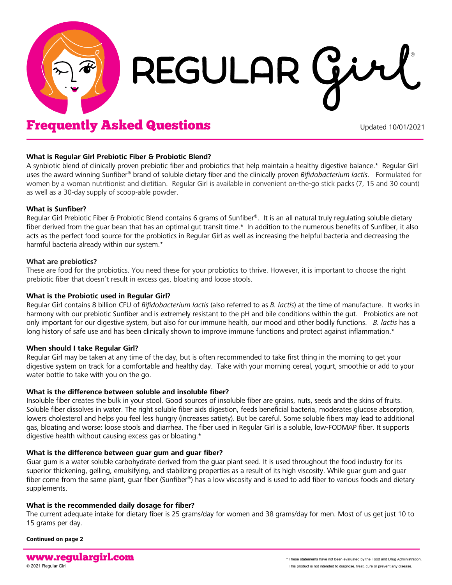

# REGULAR Gi

# **Frequently Asked Questions** The Updated 10/01/2021

#### **What is Regular Girl Prebiotic Fiber & Probiotic Blend?**

A synbiotic blend of clinically proven prebiotic fiber and probiotics that help maintain a healthy digestive balance.\* Regular Girl uses the award winning Sunfiber® brand of soluble dietary fiber and the clinically proven *Bifidobacterium lactis*. Formulated for women by a woman nutritionist and dietitian. Regular Girl is available in convenient on-the-go stick packs (7, 15 and 30 count) as well as a 30-day supply of scoop-able powder.

#### **What is Sunfiber?**

Regular Girl Prebiotic Fiber & Probiotic Blend contains 6 grams of Sunfiber®. It is an all natural truly regulating soluble dietary fiber derived from the guar bean that has an optimal gut transit time.\* In addition to the numerous benefits of Sunfiber, it also acts as the perfect food source for the probiotics in Regular Girl as well as increasing the helpful bacteria and decreasing the harmful bacteria already within our system.\*

## **What are prebiotics?**

These are food for the probiotics. You need these for your probiotics to thrive. However, it is important to choose the right prebiotic fiber that doesn't result in excess gas, bloating and loose stools.

### **What is the Probiotic used in Regular Girl?**

Regular Girl contains 8 billion CFU of *Bifidobacterium lactis* (also referred to as *B. lactis*) at the time of manufacture. It works in harmony with our prebiotic Sunfiber and is extremely resistant to the pH and bile conditions within the qut. Probiotics are not only important for our digestive system, but also for our immune health, our mood and other bodily functions. *B. lactis* has a long history of safe use and has been clinically shown to improve immune functions and protect against inflammation.\*

#### **When should I take Regular Girl?**

Regular Girl may be taken at any time of the day, but is often recommended to take first thing in the morning to get your digestive system on track for a comfortable and healthy day. Take with your morning cereal, yogurt, smoothie or add to your water bottle to take with you on the go.

#### **What is the difference between soluble and insoluble fiber?**

Insoluble fiber creates the bulk in your stool. Good sources of insoluble fiber are grains, nuts, seeds and the skins of fruits. Soluble fiber dissolves in water. The right soluble fiber aids digestion, feeds beneficial bacteria, moderates glucose absorption, lowers cholesterol and helps you feel less hungry (increases satiety). But be careful. Some soluble fibers may lead to additional gas, bloating and worse: loose stools and diarrhea. The fiber used in Regular Girl is a soluble, low-FODMAP fiber. It supports digestive health without causing excess gas or bloating.\*

#### **What is the difference between guar gum and guar fiber?**

Guar gum is a water soluble carbohydrate derived from the guar plant seed. It is used throughout the food industry for its superior thickening, gelling, emulsifying, and stabilizing properties as a result of its high viscosity. While guar gum and guar fiber come from the same plant, guar fiber (Sunfiber®) has a low viscosity and is used to add fiber to various foods and dietary supplements.

# **What is the recommended daily dosage for fiber?**

The current adequate intake for dietary fiber is 25 grams/day for women and 38 grams/day for men. Most of us get just 10 to 15 grams per day.

**Continued on page 2**